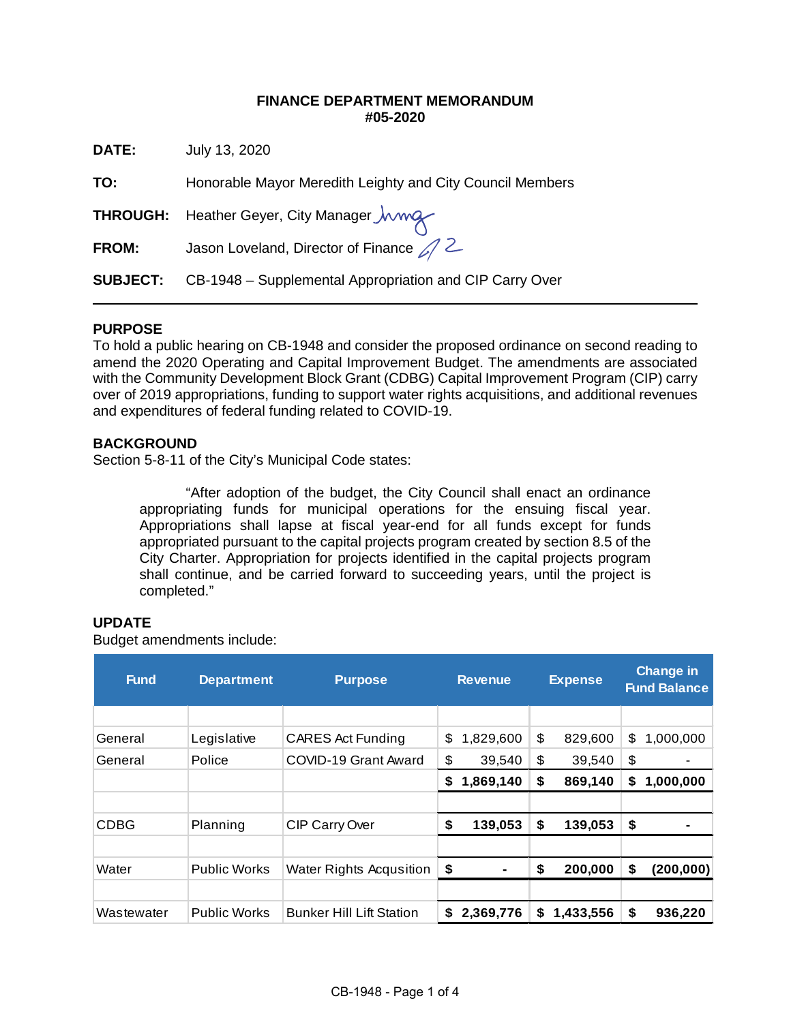### **FINANCE DEPARTMENT MEMORANDUM #05-2020**

| DATE:           | July 13, 2020                                             |
|-----------------|-----------------------------------------------------------|
| TO:             | Honorable Mayor Meredith Leighty and City Council Members |
|                 | THROUGH: Heather Geyer, City Manager <i>Juvrey</i>        |
| <b>FROM:</b>    | Jason Loveland, Director of Finance $\mathcal{D}$ 2       |
| <b>SUBJECT:</b> | CB-1948 – Supplemental Appropriation and CIP Carry Over   |

# **PURPOSE**

To hold a public hearing on CB-1948 and consider the proposed ordinance on second reading to amend the 2020 Operating and Capital Improvement Budget. The amendments are associated with the Community Development Block Grant (CDBG) Capital Improvement Program (CIP) carry over of 2019 appropriations, funding to support water rights acquisitions, and additional revenues and expenditures of federal funding related to COVID-19.

# **BACKGROUND**

Section 5-8-11 of the City's Municipal Code states:

"After adoption of the budget, the City Council shall enact an ordinance appropriating funds for municipal operations for the ensuing fiscal year. Appropriations shall lapse at fiscal year-end for all funds except for funds appropriated pursuant to the capital projects program created by section 8.5 of the City Charter. Appropriation for projects identified in the capital projects program shall continue, and be carried forward to succeeding years, until the project is completed."

# **UPDATE**

Budget amendments include:

| <b>Fund</b> | <b>Department</b>   | <b>Purpose</b>                  |    | <b>Revenue</b> | <b>Expense</b> |           | <b>Change in</b><br><b>Fund Balance</b> |            |  |
|-------------|---------------------|---------------------------------|----|----------------|----------------|-----------|-----------------------------------------|------------|--|
|             |                     |                                 |    |                |                |           |                                         |            |  |
| General     | Legislative         | <b>CARES Act Funding</b>        | \$ | 1,829,600      | \$             | 829,600   | \$                                      | 1,000,000  |  |
| General     | Police              | COVID-19 Grant Award            | \$ | 39,540         | \$             | 39,540    | \$                                      | ۰          |  |
|             |                     |                                 | S  | 1,869,140      | \$             | 869,140   | S                                       | 1,000,000  |  |
|             |                     |                                 |    |                |                |           |                                         |            |  |
| <b>CDBG</b> | Planning            | CIP Carry Over                  | \$ | 139,053        | \$             | 139,053   | \$                                      |            |  |
|             |                     |                                 |    |                |                |           |                                         |            |  |
| Water       | <b>Public Works</b> | Water Rights Acqusition         | \$ | $\blacksquare$ | \$             | 200,000   | S                                       | (200, 000) |  |
|             |                     |                                 |    |                |                |           |                                         |            |  |
| Wastewater  | <b>Public Works</b> | <b>Bunker Hill Lift Station</b> | S. | 2,369,776      | S              | 1,433,556 | S                                       | 936,220    |  |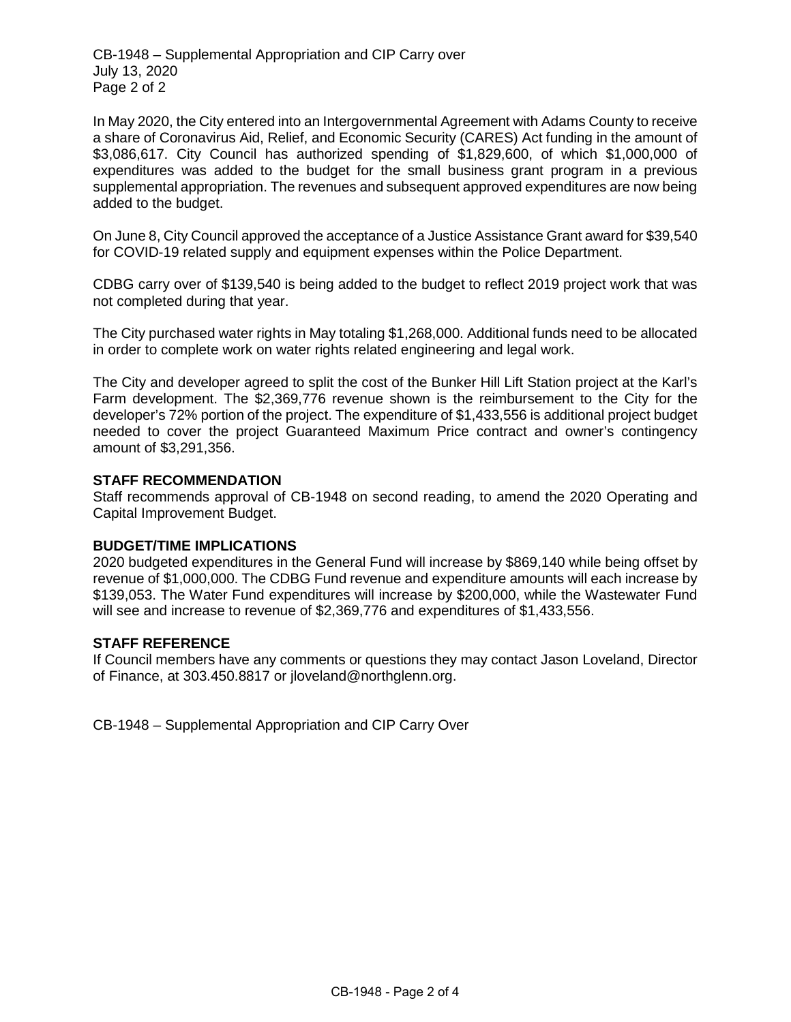CB-1948 – Supplemental Appropriation and CIP Carry over July 13, 2020 Page 2 of 2

In May 2020, the City entered into an Intergovernmental Agreement with Adams County to receive a share of Coronavirus Aid, Relief, and Economic Security (CARES) Act funding in the amount of \$3,086,617. City Council has authorized spending of \$1,829,600, of which \$1,000,000 of expenditures was added to the budget for the small business grant program in a previous supplemental appropriation. The revenues and subsequent approved expenditures are now being added to the budget.

On June 8, City Council approved the acceptance of a Justice Assistance Grant award for \$39,540 for COVID-19 related supply and equipment expenses within the Police Department.

CDBG carry over of \$139,540 is being added to the budget to reflect 2019 project work that was not completed during that year.

The City purchased water rights in May totaling \$1,268,000. Additional funds need to be allocated in order to complete work on water rights related engineering and legal work.

The City and developer agreed to split the cost of the Bunker Hill Lift Station project at the Karl's Farm development. The \$2,369,776 revenue shown is the reimbursement to the City for the developer's 72% portion of the project. The expenditure of \$1,433,556 is additional project budget needed to cover the project Guaranteed Maximum Price contract and owner's contingency amount of \$3,291,356.

#### **STAFF RECOMMENDATION**

Staff recommends approval of CB-1948 on second reading, to amend the 2020 Operating and Capital Improvement Budget.

#### **BUDGET/TIME IMPLICATIONS**

2020 budgeted expenditures in the General Fund will increase by \$869,140 while being offset by revenue of \$1,000,000. The CDBG Fund revenue and expenditure amounts will each increase by \$139,053. The Water Fund expenditures will increase by \$200,000, while the Wastewater Fund will see and increase to revenue of \$2,369,776 and expenditures of \$1,433,556.

#### **STAFF REFERENCE**

If Council members have any comments or questions they may contact Jason Loveland, Director of Finance, at 303.450.8817 or jloveland@northglenn.org.

CB-1948 – Supplemental Appropriation and CIP Carry Over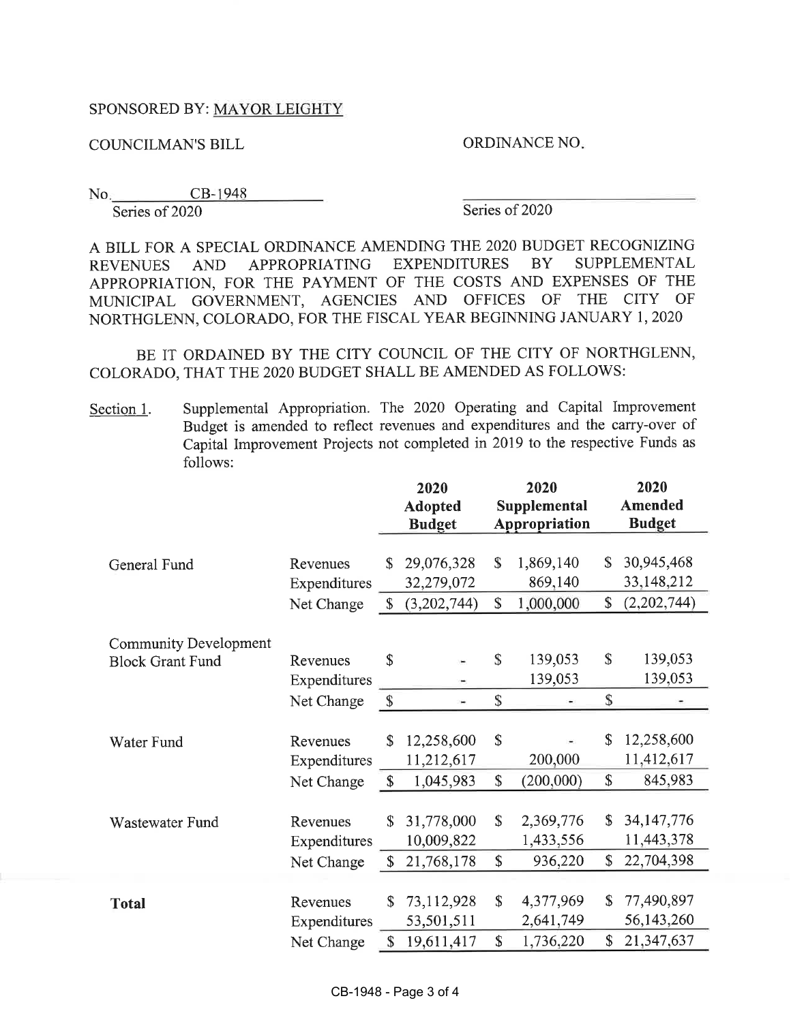# SPONSORED BY: MAYOR LEIGHTY

**COUNCILMAN'S BILL** 

ORDINANCE NO.

CB-1948  $No.$ Series of 2020

Series of 2020

A BILL FOR A SPECIAL ORDINANCE AMENDING THE 2020 BUDGET RECOGNIZING EXPENDITURES **BY** SUPPLEMENTAL APPROPRIATING **REVENUES AND** APPROPRIATION, FOR THE PAYMENT OF THE COSTS AND EXPENSES OF THE MUNICIPAL GOVERNMENT, AGENCIES AND OFFICES OF THE CITY OF NORTHGLENN, COLORADO, FOR THE FISCAL YEAR BEGINNING JANUARY 1, 2020

BE IT ORDAINED BY THE CITY COUNCIL OF THE CITY OF NORTHGLENN, COLORADO, THAT THE 2020 BUDGET SHALL BE AMENDED AS FOLLOWS:

Supplemental Appropriation. The 2020 Operating and Capital Improvement Section 1. Budget is amended to reflect revenues and expenditures and the carry-over of Capital Improvement Projects not completed in 2019 to the respective Funds as follows:

|                                                         |                                        | 2020<br><b>Adopted</b><br><b>Budget</b> |                                        | 2020<br>Supplemental<br>Appropriation |                                   |          | 2020<br><b>Amended</b><br><b>Budget</b>  |  |  |
|---------------------------------------------------------|----------------------------------------|-----------------------------------------|----------------------------------------|---------------------------------------|-----------------------------------|----------|------------------------------------------|--|--|
|                                                         |                                        |                                         |                                        |                                       |                                   |          |                                          |  |  |
| General Fund                                            | Revenues<br>Expenditures               | \$                                      | 29,076,328<br>32,279,072               | $\mathbb{S}$                          | 1,869,140<br>869,140              | \$       | 30,945,468<br>33, 148, 212               |  |  |
|                                                         | Net Change                             | $\mathbb{S}$                            | (3,202,744)                            | \$                                    | 1,000,000                         | \$       | (2,202,744)                              |  |  |
| <b>Community Development</b><br><b>Block Grant Fund</b> | Revenues                               | \$                                      |                                        | \$                                    | 139,053                           | \$       | 139,053                                  |  |  |
|                                                         | Expenditures                           |                                         |                                        |                                       | 139,053                           |          | 139,053                                  |  |  |
|                                                         | Net Change                             | $\mathbb{S}$                            | $\equiv$                               | \$                                    |                                   | \$       |                                          |  |  |
| Water Fund                                              | Revenues<br>Expenditures               | \$                                      | 12,258,600<br>11,212,617               | \$                                    | 200,000                           | \$       | 12,258,600<br>11,412,617                 |  |  |
|                                                         | Net Change                             | \$                                      | 1,045,983                              | \$                                    | (200,000)                         | \$       | 845,983                                  |  |  |
| Wastewater Fund                                         | Revenues<br>Expenditures<br>Net Change | \$<br>\$                                | 31,778,000<br>10,009,822<br>21,768,178 | \$<br>\$                              | 2,369,776<br>1,433,556<br>936,220 | \$<br>\$ | 34, 147, 776<br>11,443,378<br>22,704,398 |  |  |
| <b>Total</b>                                            | Revenues<br>Expenditures               | $\mathsf S$                             | 73,112,928<br>53,501,511               | \$                                    | 4,377,969<br>2,641,749            | \$<br>\$ | 77,490,897<br>56,143,260                 |  |  |
|                                                         | Net Change                             | \$                                      | 19,611,417                             | \$                                    | 1,736,220                         |          | 21,347,637                               |  |  |